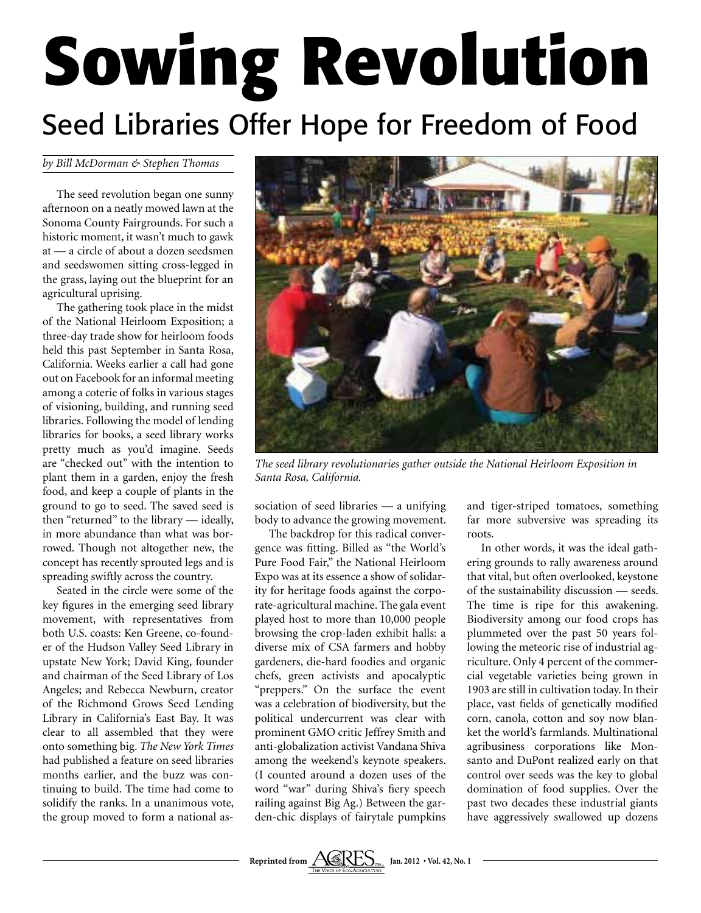## **Sowing Revolution** Seed Libraries Offer Hope for Freedom of Food

## *by Bill McDorman & Stephen Thomas*

The seed revolution began one sunny afternoon on a neatly mowed lawn at the Sonoma County Fairgrounds. For such a historic moment, it wasn't much to gawk at — a circle of about a dozen seedsmen and seedswomen sitting cross-legged in the grass, laying out the blueprint for an agricultural uprising.

The gathering took place in the midst of the National Heirloom Exposition; a three-day trade show for heirloom foods held this past September in Santa Rosa, California. Weeks earlier a call had gone out on Facebook for an informal meeting among a coterie of folks in various stages of visioning, building, and running seed libraries. Following the model of lending libraries for books, a seed library works pretty much as you'd imagine. Seeds are "checked out" with the intention to plant them in a garden, enjoy the fresh food, and keep a couple of plants in the ground to go to seed. The saved seed is then "returned" to the library — ideally, in more abundance than what was borrowed. Though not altogether new, the concept has recently sprouted legs and is spreading swiftly across the country.

Seated in the circle were some of the key figures in the emerging seed library movement, with representatives from both U.S. coasts: Ken Greene, co-founder of the Hudson Valley Seed Library in upstate New York; David King, founder and chairman of the Seed Library of Los Angeles; and Rebecca Newburn, creator of the Richmond Grows Seed Lending Library in California's East Bay. It was clear to all assembled that they were onto something big. *The New York Times* had published a feature on seed libraries months earlier, and the buzz was continuing to build. The time had come to solidify the ranks. In a unanimous vote, the group moved to form a national as-



*The seed library revolutionaries gather outside the National Heirloom Exposition in Santa Rosa, California.*

sociation of seed libraries — a unifying body to advance the growing movement.

The backdrop for this radical convergence was fitting. Billed as "the World's Pure Food Fair," the National Heirloom Expo was at its essence a show of solidarity for heritage foods against the corporate-agricultural machine. The gala event played host to more than 10,000 people browsing the crop-laden exhibit halls: a diverse mix of CSA farmers and hobby gardeners, die-hard foodies and organic chefs, green activists and apocalyptic "preppers." On the surface the event was a celebration of biodiversity, but the political undercurrent was clear with prominent GMO critic Jeffrey Smith and anti-globalization activist Vandana Shiva among the weekend's keynote speakers. (I counted around a dozen uses of the word "war" during Shiva's fiery speech railing against Big Ag.) Between the garden-chic displays of fairytale pumpkins and tiger-striped tomatoes, something far more subversive was spreading its roots.

In other words, it was the ideal gathering grounds to rally awareness around that vital, but often overlooked, keystone of the sustainability discussion — seeds. The time is ripe for this awakening. Biodiversity among our food crops has plummeted over the past 50 years following the meteoric rise of industrial agriculture. Only 4 percent of the commercial vegetable varieties being grown in 1903 are still in cultivation today. In their place, vast fields of genetically modified corn, canola, cotton and soy now blanket the world's farmlands. Multinational agribusiness corporations like Monsanto and DuPont realized early on that control over seeds was the key to global domination of food supplies. Over the past two decades these industrial giants have aggressively swallowed up dozens

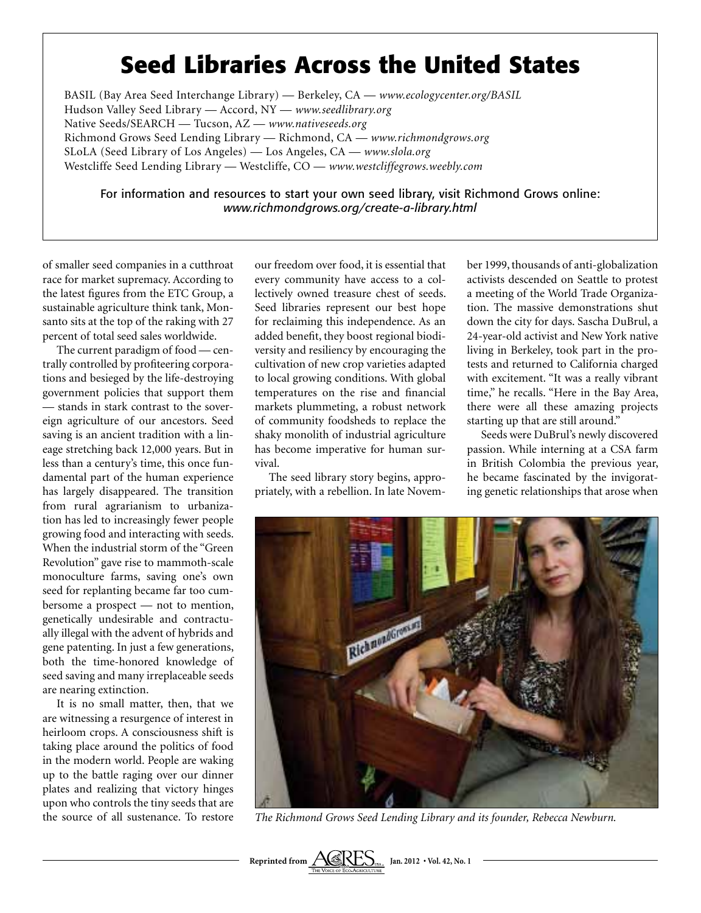## **Seed Libraries Across the United States**

BASIL (Bay Area Seed Interchange Library) — Berkeley, CA — *www.ecologycenter.org/BASIL* Hudson Valley Seed Library — Accord, NY — *www.seedlibrary.org* Native Seeds/SEARCH — Tucson, AZ — *www.nativeseeds.org* Richmond Grows Seed Lending Library — Richmond, CA — *www.richmondgrows.org* SLoLA (Seed Library of Los Angeles) — Los Angeles, CA — *www.slola.org* Westcliffe Seed Lending Library — Westcliffe, CO — *www.westcliffegrows.weebly.com*

For information and resources to start your own seed library, visit Richmond Grows online: *www.richmondgrows.org/create-a-library.html*

of smaller seed companies in a cutthroat race for market supremacy. According to the latest figures from the ETC Group, a sustainable agriculture think tank, Monsanto sits at the top of the raking with 27 percent of total seed sales worldwide.

The current paradigm of food — centrally controlled by profiteering corporations and besieged by the life-destroying government policies that support them — stands in stark contrast to the sovereign agriculture of our ancestors. Seed saving is an ancient tradition with a lineage stretching back 12,000 years. But in less than a century's time, this once fundamental part of the human experience has largely disappeared. The transition from rural agrarianism to urbanization has led to increasingly fewer people growing food and interacting with seeds. When the industrial storm of the "Green Revolution" gave rise to mammoth-scale monoculture farms, saving one's own seed for replanting became far too cumbersome a prospect — not to mention, genetically undesirable and contractually illegal with the advent of hybrids and gene patenting. In just a few generations, both the time-honored knowledge of seed saving and many irreplaceable seeds are nearing extinction.

It is no small matter, then, that we are witnessing a resurgence of interest in heirloom crops. A consciousness shift is taking place around the politics of food in the modern world. People are waking up to the battle raging over our dinner plates and realizing that victory hinges upon who controls the tiny seeds that are the source of all sustenance. To restore our freedom over food, it is essential that every community have access to a collectively owned treasure chest of seeds. Seed libraries represent our best hope for reclaiming this independence. As an added benefit, they boost regional biodiversity and resiliency by encouraging the cultivation of new crop varieties adapted to local growing conditions. With global temperatures on the rise and financial markets plummeting, a robust network of community foodsheds to replace the shaky monolith of industrial agriculture has become imperative for human survival.

The seed library story begins, appropriately, with a rebellion. In late November 1999, thousands of anti-globalization activists descended on Seattle to protest a meeting of the World Trade Organization. The massive demonstrations shut down the city for days. Sascha DuBrul, a 24-year-old activist and New York native living in Berkeley, took part in the protests and returned to California charged with excitement. "It was a really vibrant time," he recalls. "Here in the Bay Area, there were all these amazing projects starting up that are still around."

Seeds were DuBrul's newly discovered passion. While interning at a CSA farm in British Colombia the previous year, he became fascinated by the invigorating genetic relationships that arose when



*The Richmond Grows Seed Lending Library and its founder, Rebecca Newburn.*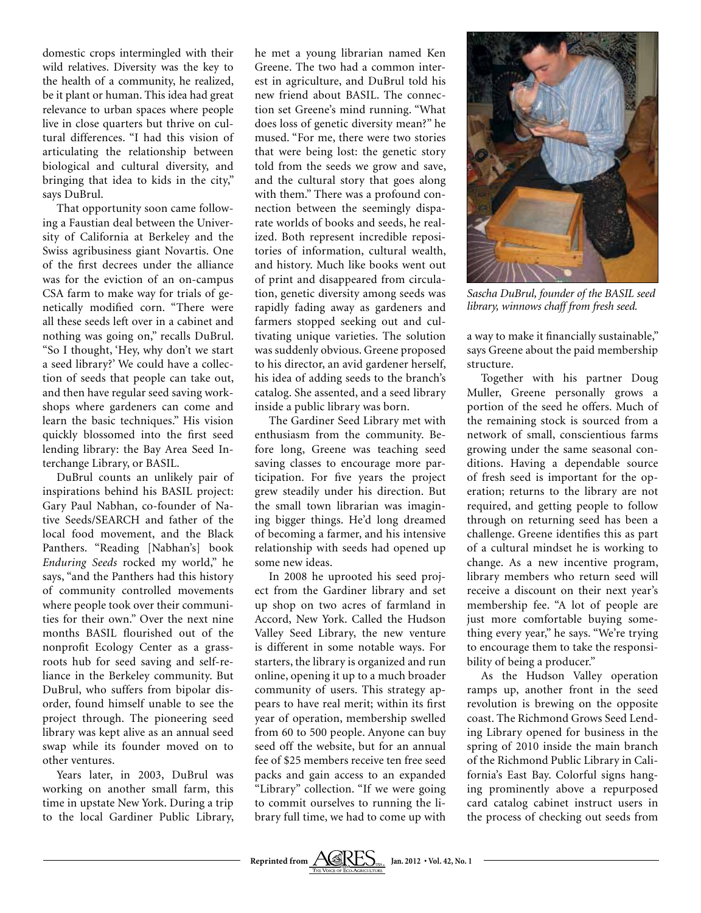domestic crops intermingled with their wild relatives. Diversity was the key to the health of a community, he realized, be it plant or human. This idea had great relevance to urban spaces where people live in close quarters but thrive on cultural differences. "I had this vision of articulating the relationship between biological and cultural diversity, and bringing that idea to kids in the city," says DuBrul.

That opportunity soon came following a Faustian deal between the University of California at Berkeley and the Swiss agribusiness giant Novartis. One of the first decrees under the alliance was for the eviction of an on-campus CSA farm to make way for trials of genetically modified corn. "There were all these seeds left over in a cabinet and nothing was going on," recalls DuBrul. "So I thought, 'Hey, why don't we start a seed library?' We could have a collection of seeds that people can take out, and then have regular seed saving workshops where gardeners can come and learn the basic techniques." His vision quickly blossomed into the first seed lending library: the Bay Area Seed Interchange Library, or BASIL.

DuBrul counts an unlikely pair of inspirations behind his BASIL project: Gary Paul Nabhan, co-founder of Native Seeds/SEARCH and father of the local food movement, and the Black Panthers. "Reading [Nabhan's] book *Enduring Seeds* rocked my world," he says, "and the Panthers had this history of community controlled movements where people took over their communities for their own." Over the next nine months BASIL flourished out of the nonprofit Ecology Center as a grassroots hub for seed saving and self-reliance in the Berkeley community. But DuBrul, who suffers from bipolar disorder, found himself unable to see the project through. The pioneering seed library was kept alive as an annual seed swap while its founder moved on to other ventures.

Years later, in 2003, DuBrul was working on another small farm, this time in upstate New York. During a trip to the local Gardiner Public Library, he met a young librarian named Ken Greene. The two had a common interest in agriculture, and DuBrul told his new friend about BASIL. The connection set Greene's mind running. "What does loss of genetic diversity mean?" he mused. "For me, there were two stories that were being lost: the genetic story told from the seeds we grow and save, and the cultural story that goes along with them." There was a profound connection between the seemingly disparate worlds of books and seeds, he realized. Both represent incredible repositories of information, cultural wealth, and history. Much like books went out of print and disappeared from circulation, genetic diversity among seeds was rapidly fading away as gardeners and farmers stopped seeking out and cultivating unique varieties. The solution was suddenly obvious. Greene proposed to his director, an avid gardener herself, his idea of adding seeds to the branch's catalog. She assented, and a seed library inside a public library was born.

The Gardiner Seed Library met with enthusiasm from the community. Before long, Greene was teaching seed saving classes to encourage more participation. For five years the project grew steadily under his direction. But the small town librarian was imagining bigger things. He'd long dreamed of becoming a farmer, and his intensive relationship with seeds had opened up some new ideas.

In 2008 he uprooted his seed project from the Gardiner library and set up shop on two acres of farmland in Accord, New York. Called the Hudson Valley Seed Library, the new venture is different in some notable ways. For starters, the library is organized and run online, opening it up to a much broader community of users. This strategy appears to have real merit; within its first year of operation, membership swelled from 60 to 500 people. Anyone can buy seed off the website, but for an annual fee of \$25 members receive ten free seed packs and gain access to an expanded "Library" collection. "If we were going to commit ourselves to running the library full time, we had to come up with



*Sascha DuBrul, founder of the BASIL seed library, winnows chaff from fresh seed.*

a way to make it financially sustainable," says Greene about the paid membership structure.

Together with his partner Doug Muller, Greene personally grows a portion of the seed he offers. Much of the remaining stock is sourced from a network of small, conscientious farms growing under the same seasonal conditions. Having a dependable source of fresh seed is important for the operation; returns to the library are not required, and getting people to follow through on returning seed has been a challenge. Greene identifies this as part of a cultural mindset he is working to change. As a new incentive program, library members who return seed will receive a discount on their next year's membership fee. "A lot of people are just more comfortable buying something every year," he says. "We're trying to encourage them to take the responsibility of being a producer."

As the Hudson Valley operation ramps up, another front in the seed revolution is brewing on the opposite coast. The Richmond Grows Seed Lending Library opened for business in the spring of 2010 inside the main branch of the Richmond Public Library in California's East Bay. Colorful signs hanging prominently above a repurposed card catalog cabinet instruct users in the process of checking out seeds from

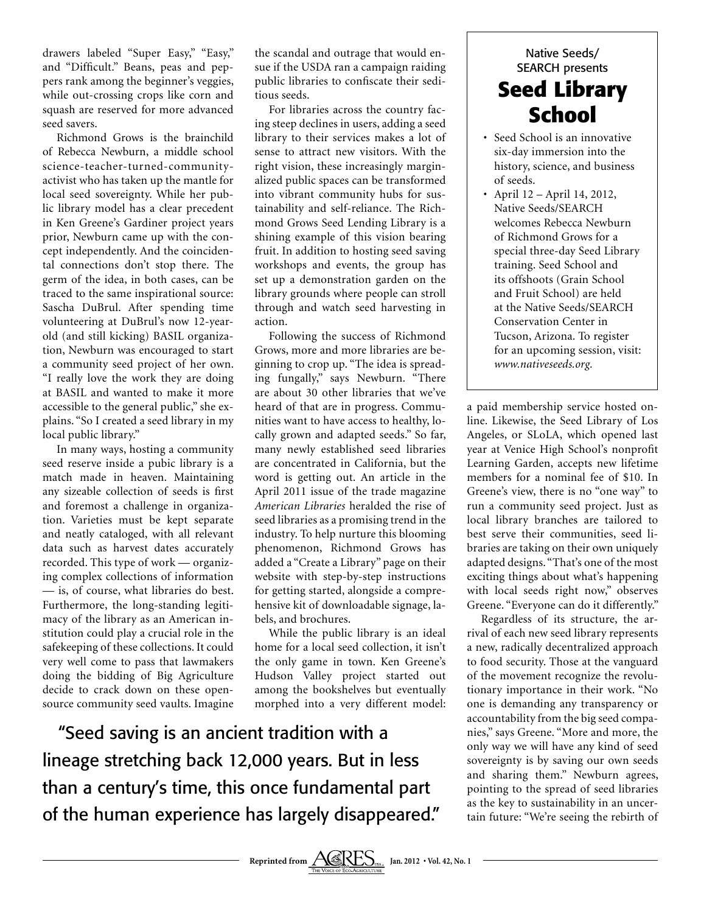drawers labeled "Super Easy," "Easy," and "Difficult." Beans, peas and peppers rank among the beginner's veggies, while out-crossing crops like corn and squash are reserved for more advanced seed savers.

Richmond Grows is the brainchild of Rebecca Newburn, a middle school science-teacher-turned-communityactivist who has taken up the mantle for local seed sovereignty. While her public library model has a clear precedent in Ken Greene's Gardiner project years prior, Newburn came up with the concept independently. And the coincidental connections don't stop there. The germ of the idea, in both cases, can be traced to the same inspirational source: Sascha DuBrul. After spending time volunteering at DuBrul's now 12-yearold (and still kicking) BASIL organization, Newburn was encouraged to start a community seed project of her own. "I really love the work they are doing at BASIL and wanted to make it more accessible to the general public," she explains. "So I created a seed library in my local public library."

In many ways, hosting a community seed reserve inside a pubic library is a match made in heaven. Maintaining any sizeable collection of seeds is first and foremost a challenge in organization. Varieties must be kept separate and neatly cataloged, with all relevant data such as harvest dates accurately recorded. This type of work — organizing complex collections of information — is, of course, what libraries do best. Furthermore, the long-standing legitimacy of the library as an American institution could play a crucial role in the safekeeping of these collections. It could very well come to pass that lawmakers doing the bidding of Big Agriculture decide to crack down on these opensource community seed vaults. Imagine

the scandal and outrage that would ensue if the USDA ran a campaign raiding public libraries to confiscate their seditious seeds.

For libraries across the country facing steep declines in users, adding a seed library to their services makes a lot of sense to attract new visitors. With the right vision, these increasingly marginalized public spaces can be transformed into vibrant community hubs for sustainability and self-reliance. The Richmond Grows Seed Lending Library is a shining example of this vision bearing fruit. In addition to hosting seed saving workshops and events, the group has set up a demonstration garden on the library grounds where people can stroll through and watch seed harvesting in action.

Following the success of Richmond Grows, more and more libraries are beginning to crop up. "The idea is spreading fungally," says Newburn. "There are about 30 other libraries that we've heard of that are in progress. Communities want to have access to healthy, locally grown and adapted seeds." So far, many newly established seed libraries are concentrated in California, but the word is getting out. An article in the April 2011 issue of the trade magazine *American Libraries* heralded the rise of seed libraries as a promising trend in the industry. To help nurture this blooming phenomenon, Richmond Grows has added a "Create a Library" page on their website with step-by-step instructions for getting started, alongside a comprehensive kit of downloadable signage, labels, and brochures.

While the public library is an ideal home for a local seed collection, it isn't the only game in town. Ken Greene's Hudson Valley project started out among the bookshelves but eventually morphed into a very different model:

"Seed saving is an ancient tradition with a lineage stretching back 12,000 years. But in less than a century's time, this once fundamental part of the human experience has largely disappeared."

## Native Seeds/ SEARCH presents **Seed Library School**

- Seed School is an innovative six-day immersion into the history, science, and business of seeds.
- s April 12 April 14, 2012, Native Seeds/SEARCH welcomes Rebecca Newburn of Richmond Grows for a special three-day Seed Library training. Seed School and its offshoots (Grain School and Fruit School) are held at the Native Seeds/SEARCH Conservation Center in Tucson, Arizona. To register for an upcoming session, visit: *www.nativeseeds.org.*

a paid membership service hosted online. Likewise, the Seed Library of Los Angeles, or SLoLA, which opened last year at Venice High School's nonprofit Learning Garden, accepts new lifetime members for a nominal fee of \$10. In Greene's view, there is no "one way" to run a community seed project. Just as local library branches are tailored to best serve their communities, seed libraries are taking on their own uniquely adapted designs. "That's one of the most exciting things about what's happening with local seeds right now," observes Greene. "Everyone can do it differently."

Regardless of its structure, the arrival of each new seed library represents a new, radically decentralized approach to food security. Those at the vanguard of the movement recognize the revolutionary importance in their work. "No one is demanding any transparency or accountability from the big seed companies," says Greene. "More and more, the only way we will have any kind of seed sovereignty is by saving our own seeds and sharing them." Newburn agrees, pointing to the spread of seed libraries as the key to sustainability in an uncertain future: "We're seeing the rebirth of